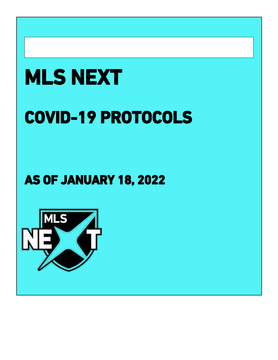# **MLS NEXT**

## **COVID-19 PROTOCOLS**

### **AS OF JANUARY 18, 2022**

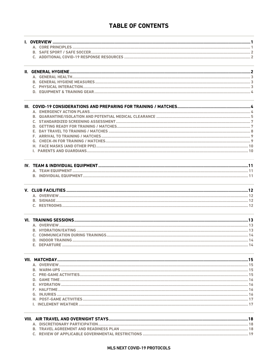#### **TABLE OF CONTENTS**

| D. INDOOR TRAINING. |  |  |  |  |  |
|---------------------|--|--|--|--|--|
|                     |  |  |  |  |  |
|                     |  |  |  |  |  |
|                     |  |  |  |  |  |
|                     |  |  |  |  |  |
|                     |  |  |  |  |  |
|                     |  |  |  |  |  |
|                     |  |  |  |  |  |
|                     |  |  |  |  |  |
|                     |  |  |  |  |  |
|                     |  |  |  |  |  |
|                     |  |  |  |  |  |
|                     |  |  |  |  |  |
|                     |  |  |  |  |  |
|                     |  |  |  |  |  |
|                     |  |  |  |  |  |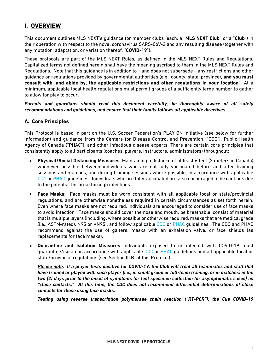#### <span id="page-3-0"></span>**I. OVERVIEW**

This document outlines MLS NEXT's guidance for member clubs (each, a "**MLS NEXT Club**" or a "**Club**") in their operation with respect to the novel coronavirus SARS-CoV-2 and any resulting disease (together with any mutation, adaptation, or variation thereof, "**COVID-19**").

These protocols are part of the MLS NEXT Rules, as defined in the MLS NEXT Rules and Regulations. Capitalized terms not defined herein shall have the meaning ascribed to them in the MLS NEXT Rules and Regulations. Note that this guidance is in addition to – and does not supersede – any restrictions and other guidance or regulations provided by governmental authorities (e.g., county, state, province)**, and you must consult with, and abide by, the applicable restrictions and other regulations in your location**. At a minimum, applicable local health regulations must permit groups of a sufficiently large number to gather to allow for play to occur.

*Parents and guardians should read this document carefully, be thoroughly aware of all safety recommendations and guidelines, and ensure that their family follows all applicable directives.*

#### <span id="page-3-1"></span>**A. Core Principles**

This Protocol is based in part on the U.S. Soccer Federation's PLAY ON Initiative (see below for further information) and guidance from the Centers for Disease Control and Prevention ("CDC"), Public Health Agency of Canada ("PHAC"), and other infectious disease experts. There are certain core principles that consistently apply to all participants (coaches, players, instructors, administrators) throughout:

- **Physical/Social Distancing Measures**: Maintaining a distance of at least 6 feet (2 meters in Canada) whenever possible between individuals who are not fully vaccinated before and after training sessions and matches, and during training sessions where possible, in accordance with applicable [CDC](https://www.cdc.gov/coronavirus/2019-ncov/prevent-getting-sick/social-distancing.html) or [PHAC](https://www.canada.ca/en/public-health/services/publications/diseases-conditions/social-distancing.html) guidelines. Individuals who are fully vaccinated are also encouraged to be cautious due to the potential for breakthrough infections.
- **Face Masks:** Face masks must be worn consistent with all applicable local or state/provincial regulations, and are otherwise nonetheless required in certain circumstances as set forth herein. Even where face masks are not required, individuals are encouraged to consider use of face masks to avoid infection. Face masks should cover the nose and mouth, be breathable, consist of material that is multiple layers (including, where possible or otherwise required, masks that are medical grade (i.e., ASTM-rated), N95 or KN95), and follow applicable [CDC o](https://www.cdc.gov/coronavirus/2019-ncov/prevent-getting-sick/diy-cloth-face-coverings.html)r [PHAC](https://www.canada.ca/en/public-health/services/diseases/2019-novel-coronavirus-infection/prevention-risks/about-non-medical-masks-face-coverings.html) guidelines. The CDC and PHAC recommend against the use of gaiters, masks with an exhalation valve, or face shields (as replacements for face masks).
- **Quarantine and Isolation Measures** Individuals exposed to or infected with COVID-19 must quarantine/isolate in accordance with applicable [CDC](https://www.cdc.gov/coronavirus/2019-ncov/if-you-are-sick/index.html) or [PHAC](https://www.canada.ca/en/public-health/services/publications/diseases-conditions/covid-19-how-to-isolate-at-home.html) guidelines and all applicable local or state/provincial regulations (see Section III.B. of this Protocol).

*Please note: If a player tests positive for COVID-19, the Club will treat all teammates and staff that have trained or played with such player (i.e., in small group or full-team training, or in matches) in the two (2) days prior to the onset of symptoms (or test specimen collection for asymptomatic cases) as "close contacts." At this time, the CDC does not recommend differential determinations of close contacts for those using face masks.*

*Testing using reverse transcription polymerase chain reaction ("RT-PCR"), the Cue COVID-19*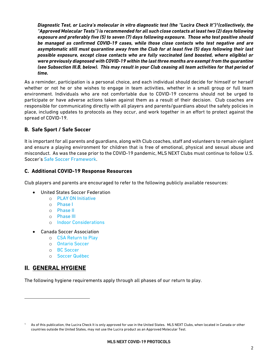*Diagnostic Test, or Lucira's molecular in vitro diagnostic test (the "Lucira Check It")[1\(](#page-4-3)collectively, the "Approved Molecular Tests") is recommended for all such close contacts at least two (2) days following exposure and preferably five (5) to seven (7) days following exposure. Those who test positive should be managed as confirmed COVID-19 cases, while those close contacts who test negative and are asymptomatic still must quarantine away from the Club for at least five (5) days following their last possible exposure, except close contacts who are fully vaccinated (and boosted, where eligible) or were previously diagnosed with COVID-19 within the last three months are exempt from the quarantine (see Subsection III.B, below). This may result in your Club ceasing all team activities for that period of time.*

As a reminder, participation is a personal choice, and each individual should decide for himself or herself whether or not he or she wishes to engage in team activities, whether in a small group or full team environment. Individuals who are not comfortable due to COVID-19 concerns should not be urged to participate or have adverse actions taken against them as a result of their decision. Club coaches are responsible for communicating directly with all players and parents/guardians about the safety policies in place, including updates to protocols as they occur, and work together in an effort to protect against the spread of COVID-19.

#### <span id="page-4-0"></span>**B. Safe Sport / Safe Soccer**

It is important for all parents and guardians, along with Club coaches, staff and volunteers to remain vigilant and ensure a playing environment for children that is free of emotional, physical and sexual abuse and misconduct. As was the case prior to the COVID-19 pandemic, MLS NEXT Clubs must continue to follow U.S. Soccer's [Safe Soccer Framework.](https://www.safesoccer.com/)

#### <span id="page-4-1"></span>**C. Additional COVID-19 Response Resources**

Club players and parents are encouraged to refer to the following publicly available resources:

- United States Soccer Federation
	- o [PLAY ON Initiative](https://www.ussoccer.com/playon#overview)
	- o [Phase I](https://www.ussoccer.com/playon/guides/phase-1-grassroots)
	- o [Phase II](https://www.ussoccer.com/playon/guides/phase-2-grassroots)
	- o [Phase](https://www.ussoccer.com/playon/guides/phase-3-grassroots) III
	- o [Indoor Considerations](https://www.ussoccer.com/playon/guides/indoor-considerations)
- Canada Soccer Association
	- o [CSA Return to Play](https://returntoplay.canadasoccer.com/)
		- o [Ontario Soccer](https://www.ontariosoccer.net/returntoplay)
		- o [BC Soccer](https://bcsoccer.net/return-to-play-information)
		- o [Soccer Québec](https://soccerquebec.org/ressources-covid-19/)

#### <span id="page-4-2"></span>**II. GENERAL HYGIENE**

The following hygiene requirements apply through all phases of our return to play.

<span id="page-4-3"></span>As of this publication, the Lucira Check It is only approved for use in the United States. MLS NEXT Clubs, when located in Canada or other countries outside the United States, may not use the Lucira product as an Approved Molecular Test.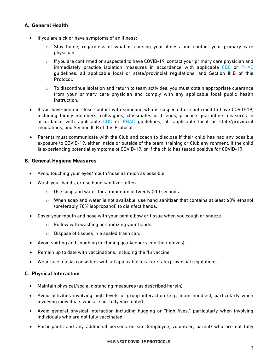#### <span id="page-5-0"></span>**A. General Health**

- If you are sick or have symptoms of an illness:
	- o Stay home, regardless of what is causing your illness and contact your primary care physician.
	- $\circ$  If you are confirmed or suspected to have COVID-19, contact your primary care physician and immediately practice isolation measures in accordance with applicable [CDC](https://www.cdc.gov/coronavirus/2019-ncov/if-you-are-sick/isolation.html) or [PHAC](https://www.canada.ca/en/public-health/services/publications/diseases-conditions/covid-19-how-to-isolate-at-home.html) guidelines, all applicable local or state/provincial regulations, and Section III.B of this Protocol.
	- $\circ$  To discontinue isolation and return to team activities, you must obtain appropriate clearance from your primary care physician and comply with any applicable local public health instruction.
- If you have been in close contact with someone who is suspected or confirmed to have COVID-19, including family members, colleagues, classmates or friends, practice quarantine measures in accordance with applicable [CDC](https://www.cdc.gov/coronavirus/2019-ncov/if-you-are-sick/quarantine.html?CDC_AA_refVal=https%3A%2F%2Fwww.cdc.gov%2Fcoronavirus%2F2019-ncov%2Fif-you-are-sick%2Fquarantine-isolation.html) or [PHAC](https://www.canada.ca/en/public-health/services/diseases/2019-novel-coronavirus-infection/health-professionals/interim-guidance-cases-contacts.html) guidelines, all applicable local or state/provincial regulations, and Section III.B of this Protocol.
- Parents must communicate with the Club and coach to disclose if their child has had any possible exposure to COVID-19, either inside or outside of the team, training or Club environment, if the child is experiencing potential symptoms of COVID-19, or if the child has tested positive for COVID-19.

#### <span id="page-5-1"></span>**B. General Hygiene Measures**

- Avoid touching your eyes/mouth/nose as much as possible.
- Wash your hands, or use hand sanitizer, often.
	- o Use soap and water for a minimum of twenty (20) seconds.
	- $\circ$  When soap and water is not available, use hand sanitizer that contains at least 60% ethanol (preferably 70% isopropanol) to disinfect hands.
- Cover your mouth and nose with your bent elbow or tissue when you cough or sneeze.
	- o Follow with washing or sanitizing your hands.
	- o Dispose of tissues in a sealed trash can.
- Avoid spitting and coughing (including goalkeepers into their gloves).
- Remain up to date with vaccinations, including the flu vaccine.
- Wear face masks consistent with all applicable local or state/provincial regulations.

#### <span id="page-5-2"></span>**C. Physical Interaction**

- Maintain physical/social distancing measures (as described herein).
- Avoid activities involving high levels of group interaction (e.g., team huddles), particularly when involving individuals who are not fully vaccinated.
- Avoid general physical interaction including hugging or "high fives," particularly when involving individuals who are not fully vaccinated.
- Participants and any additional persons on site (employee, volunteer, parent) who are not fully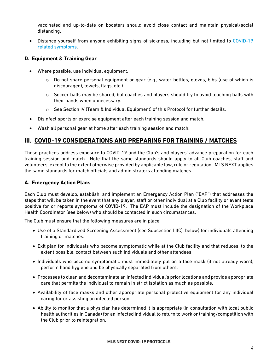vaccinated and up-to-date on boosters should avoid close contact and maintain physical/social distancing.

• Distance yourself from anyone exhibiting signs of sickness, including but not limited to COVID-19 [related symptoms.](https://www.cdc.gov/coronavirus/2019-ncov/symptoms-testing/symptoms.html)

#### <span id="page-6-0"></span>**D. Equipment & Training Gear**

- Where possible, use individual equipment.
	- $\circ$  Do not share personal equipment or gear (e.g., water bottles, gloves, bibs (use of which is discouraged), towels, flags, etc.).
	- $\circ$  Soccer balls may be shared, but coaches and players should try to avoid touching balls with their hands when unnecessary.
	- o See Section IV (Team & Individual Equipment) of this Protocol for further details.
- Disinfect sports or exercise equipment after each training session and match.
- Wash all personal gear at home after each training session and match.

#### <span id="page-6-1"></span>**III. COVID-19 CONSIDERATIONS AND PREPARING FOR TRAINING / MATCHES**

These practices address exposure to COVID-19 and the Club's and players' advance preparation for each training session and match. Note that the same standards should apply to all Club coaches, staff and volunteers, except to the extent otherwise provided by applicable law, rule or regulation. MLS NEXT applies the same standards for match officials and administrators attending matches.

#### <span id="page-6-2"></span>**A. Emergency Action Plans**

Each Club must develop, establish, and implement an Emergency Action Plan ("EAP") that addresses the steps that will be taken in the event that any player, staff or other individual at a Club facility or event tests positive for or reports symptoms of COVID-19. The EAP must include the designation of the Workplace Health Coordinator (see below) who should be contacted in such circumstances.

The Club must ensure that the following measures are in place:

- Use of a Standardized Screening Assessment (see Subsection III(C), below) for individuals attending training or matches.
- Exit plan for individuals who become symptomatic while at the Club facility and that reduces, to the extent possible, contact between such individuals and other attendees.
- Individuals who become symptomatic must immediately put on a face mask (if not already worn), perform hand hygiene and be physically separated from others.
- Processes to clean and decontaminate an infected individual's prior locations and provide appropriate care that permits the individual to remain in strict isolation as much as possible.
- Availability of face masks and other appropriate personal protective equipment for any individual caring for or assisting an infected person.
- Ability to monitor that a physician has determined it is appropriate (in consultation with local public health authorities in Canada) for an infected individual to return to work or training/competition with the Club prior to reintegration.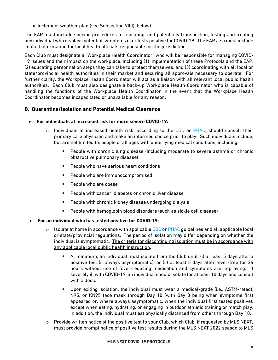• Inclement weather plan (see Subsection VII(I), below).

The EAP must include specific procedures for isolating, and potentially transporting, testing and treating any individual who displays potential symptoms of or tests positive for COVID-19. The EAP also must include contact information for local health officials responsible for the jurisdiction.

Each Club must designate a "Workplace Health Coordinator" who will be responsible for managing COVID-19 issues and their impact on the workplace, including (1) implementation of these Protocols and the EAP, (2) educating personnel on steps they can take to protect themselves, and (3) coordinating with all local or state/provincial health authorities in their market and securing all approvals necessary to operate. For further clarity, the Workplace Health Coordinator will act as a liaison with all relevant local public health authorities. Each Club must also designate a back-up Workplace Health Coordinator who is capable of handling the functions of the Workplace Health Coordinator in the event that the Workplace Health Coordinator becomes incapacitated or unavailable for any reason.

#### <span id="page-7-0"></span>**B. Quarantine/Isolation and Potential Medical Clearance**

- **For individuals at increased risk for more severe COVID-19:**
	- $\circ$  Individuals at increased health risk, according to the [CDC](https://www.cdc.gov/coronavirus/2019-ncov/need-extra-precautions/index.html?CDC_AA_refVal=https%3A%2F%2Fwww.cdc.gov%2Fcoronavirus%2F2019-ncov%2Fneed-extra-precautions%2Fpeople-at-increased-risk.html) or [PHAC,](https://www.canada.ca/en/public-health/services/publications/diseases-conditions/vulnerable-populations-covid-19.html) should consult their primary care physician and make an informed choice prior to play. Such individuals include, but are not limited to, people of all ages with underlying medical conditions, including:
		- People with chronic lung disease (including moderate to severe asthma or chronic obstructive pulmonary disease)
		- People who have serious heart conditions
		- People who are immunocompromised
		- **People who are obese**
		- **People with cancer, diabetes or chronic liver disease**
		- **People with chronic kidney disease undergoing dialysis**
		- People with hemoglobin blood disorders (such as sickle cell disease)
- **For an individual who has tested positive for COVID-19:**
	- $\circ$  Isolate at home in accordance with applicabl[e CDC](https://www.cdc.gov/coronavirus/2019-ncov/if-you-are-sick/isolation.html) or [PHAC](https://www.canada.ca/en/public-health/services/publications/diseases-conditions/covid-19-how-to-isolate-at-home.html) guidelines and all applicable local or state/provincial regulations. The period of isolation may differ depending on whether the individual is symptomatic. The criteria for discontinuing isolation must be in accordance with any applicable local public health instruction.
		- At minimum, an individual must isolate from the Club until: (i) at least 5 days after a positive test (if always asymptomatic), or (ii) at least 5 days after fever-free for 24 hours without use of fever-reducing medication and symptoms are improving. If severely ill with COVID-19, an individual should isolate for at least 10 days and consult with a doctor.
		- Upon exiting isolation, the individual must wear a medical-grade (i.e., ASTM-rated), N95, or KN95 face mask through Day 10 (with Day 0 being when symptoms first appeared or, where always asymptomatic, when the individual first tested positive), except when eating, hydrating, or engaging in outdoor athletic training or match play. In addition, the individual must eat physically distanced from others through Day 10.
	- o Provide written notice of the positive test to your Club, which Club, if requested by MLS NEXT, must provide prompt notice of positive test results during the MLS NEXT 2022 season to MLS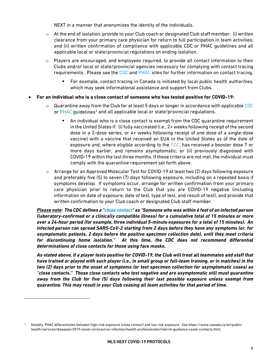NEXT in a manner that anonymizes the identity of the individuals.

- $\circ$  At the end of isolation, provide to your Club coach or designated Club staff member: (i) written clearance from your primary care physician for return to full participation in team activities; and (ii) written confirmation of compliance with applicable CDC or PHAC guidelines and all applicable local or state/provincial regulations on ending isolation.
- $\circ$  Players are encouraged, and employees required, to provide all contact information to their Clubs and/or local or state/provincial agencies necessary for complying with contact tracing requirements. Please see the [CDC](https://www.cdc.gov/coronavirus/2019-ncov/php/contact-tracing/contact-tracing-plan/contact-tracing.html) and [PHAC](https://www.canada.ca/en/public-health/services/diseases/2019-novel-coronavirus-infection/health-professionals/interim-guidance-cases-contacts.html) sites for further information on contact tracing.
	- For example, contact tracing in Canada is initiated by local public health authorities, which may seek informational assistance and support from Clubs.
- **For an individual who is a close contact of someone who has tested positive for COVID-19:**
	- $\circ$  Quarantine away from the Club for at least 5 days or longer in accordance with applicabl[e CDC](https://www.cdc.gov/coronavirus/2019-ncov/if-you-are-sick/quarantine-isolation.html) or  $PHAC$  guidelines<sup>2</sup> and all applicable local or state/provincial regulations.
		- An individual who is a close contact is exempt from the CDC quarantine requirement in the United States if: (i) fully vaccinated (i.e., 2+ weeks following receipt of the second dose in a 2-dose series, or 4+ weeks following receipt of one dose of a single-dose vaccine) with a vaccine that received an EUA in the United States as of the date of exposure and, where eligible according to the [CDC,](https://www.cdc.gov/coronavirus/2019-ncov/vaccines/stay-up-to-date.html) has received a booster dose 7 or more days earlier, and remains asymptomatic; or (ii) previously diagnosed with COVID-19 within the last three months. If these criteria are not met, the individual must comply with the quarantine requirement set forth above.
	- $\circ$  Arrange for an Approved Molecular Test for COVID-19 at least two (2) days following exposure and preferably five (5) to seven (7) days following exposure, including on a repeated basis if symptoms develop. If symptoms occur, arrange for written confirmation from your primary care physician prior to return to the Club that you are COVID-19 negative (including information on date of exposure, date of test, type of test, and result of test), and provide that written confirmation to your Club coach or designated Club staff member.

*Please note: The CDC defines a ["close contact"](https://www.cdc.gov/coronavirus/2019-ncov/php/contact-tracing/contact-tracing-plan/appendix.html#contact) as "Someone who was within 6 feet of an infected person (laboratory-confirmed or a clinically compatible illness) for a cumulative total of 15 minutes or more over a 24-hour period (for example, three individual 5-minute exposures for a total of 15 minutes). An infected person can spread SARS-CoV-2 starting from 2 days before they have any symptoms (or, for asymptomatic patients, 2 days before the positive specimen collection date), until they meet criteria for discontinuing home isolation." At this time, the CDC does not recommend differential determinations of close contacts for those using face masks.*

*As stated above, if a player tests positive for COVID-19, the Club will treat all teammates and staff that have trained or played with such player (i.e., in small group or full-team training, or in matches) in the two (2) days prior to the onset of symptoms (or test specimen collection for asymptomatic cases) as "close contacts." Those close contacts who test negative and are asymptomatic still must quarantine away from the Club for five (5) days following their last possible exposure unless exempt from quarantine. This may result in your Club ceasing all team activities for that period of time.*

<span id="page-8-0"></span><sup>2</sup> Notably, PHAC differentiates between high-risk exposure (close contact) and low risk exposure. See https://www.canada.ca/en/publichealth/services/diseases/2019-novel-coronavirus-infection/health-professionals/interim-guidance-cases-contacts.html.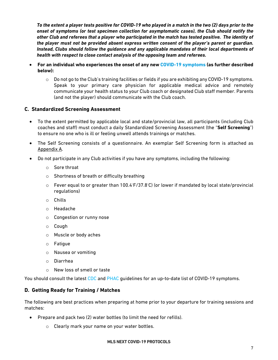*To the extent a player tests positive for COVID-19 who played in a match in the two (2) days prior to the onset of symptoms (or test specimen collection for asymptomatic cases), the Club should notify the other Club and referees that a player who participated in the match has tested positive. The identity of the player must not be provided absent express written consent of the player's parent or guardian. Instead, Clubs should follow the guidance and any applicable mandates of their local departments of health with respect to close contact analysis of the opposing team and referees.*

- **For an individual who experiences the onset of any ne[w COVID-19 symptoms](https://www.cdc.gov/coronavirus/2019-ncov/symptoms-testing/symptoms.html) (as further described below):** 
	- $\circ$  Do not go to the Club's training facilities or fields if you are exhibiting any COVID-19 symptoms. Speak to your primary care physician for applicable medical advice and remotely communicate your health status to your Club coach or designated Club staff member. Parents (and not the player) should communicate with the Club coach.

#### <span id="page-9-0"></span>**C. Standardized Screening Assessment**

- To the extent permitted by applicable local and state/provincial law, all participants (including Club coaches and staff) must conduct a daily Standardized Screening Assessment (the "**Self Screening**") to ensure no one who is ill or feeling unwell attends trainings or matches.
- The Self Screening consists of a questionnaire. An exemplar Self Screening form is attached as Appendix A.
- Do not participate in any Club activities if you have any symptoms, including the following:
	- o Sore throat
	- o Shortness of breath or difficulty breathing
	- o Fever equal to or greater than 100.4◦ F/37.8◦ C) (or lower if mandated by local state/provincial regulations)
	- o Chills
	- o Headache
	- o Congestion or runny nose
	- o Cough
	- o Muscle or body aches
	- o Fatigue
	- o Nausea or vomiting
	- o Diarrhea
	- o New loss of smell or taste

You should consult the latest [CDC](https://www.cdc.gov/coronavirus/2019-ncov/symptoms-testing/symptoms.html) and [PHAC](https://www.canada.ca/en/public-health/services/diseases/2019-novel-coronavirus-infection/symptoms.html) quidelines for an up-to-date list of COVID-19 symptoms.

#### <span id="page-9-1"></span>**D. Getting Ready for Training / Matches**

The following are best practices when preparing at home prior to your departure for training sessions and matches:

- Prepare and pack two (2) water bottles (to limit the need for refills).
	- o Clearly mark your name on your water bottles.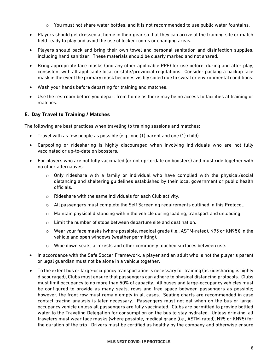- $\circ$  You must not share water bottles, and it is not recommended to use public water fountains.
- Players should get dressed at home in their gear so that they can arrive at the training site or match field ready to play and avoid the use of locker rooms or changing areas.
- Players should pack and bring their own towel and personal sanitation and disinfection supplies, including hand sanitizer. These materials should be clearly marked and not shared.
- Bring appropriate face masks (and any other applicable PPE) for use before, during and after play, consistent with all applicable local or state/provincial regulations. Consider packing a backup face mask in the event the primary mask becomes visibly soiled due to sweat or environmental conditions.
- Wash your hands before departing for training and matches.
- Use the restroom before you depart from home as there may be no access to facilities at training or matches.

#### <span id="page-10-0"></span>**E. Day Travel to Training / Matches**

The following are best practices when traveling to training sessions and matches:

- Travel with as few people as possible (e.g., one (1) parent and one (1) child).
- Carpooling or ridesharing is highly discouraged when involving individuals who are not fully vaccinated or up-to-date on boosters.
- For players who are not fully vaccinated (or not up-to-date on boosters) and must ride together with no other alternatives:
	- $\circ$  Only rideshare with a family or individual who have complied with the physical/social distancing and sheltering guidelines established by their local government or public health officials.
	- o Rideshare with the same individuals for each Club activity.
	- o All passengers must complete the Self Screening requirements outlined in this Protocol.
	- $\circ$  Maintain physical distancing within the vehicle during loading, transport and unloading.
	- o Limit the number of stops between departure site and destination.
	- o Wear your face masks (where possible, medical grade (i.e., ASTM-rated), N95 or KN95)) in the vehicle and open windows (weather permitting).
	- o Wipe down seats, armrests and other commonly touched surfaces between use.
- In accordance with the Safe Soccer Framework, a player and an adult who is not the player's parent or legal guardian must not be alone in a vehicle together.
- To the extent bus or large-occupancy transportation is necessary for training (as ridesharing is highly discouraged), Clubs must ensure that passengers can adhere to physical distancing protocols. Clubs must limit occupancy to no more than 50% of capacity. All buses and large-occupancy vehicles must be configured to provide as many seats, rows and free space between passengers as possible; however, the front row must remain empty in all cases. Seating charts are recommended in case contact tracing analysis is later necessary. Passengers must not eat when on the bus or largeoccupancy vehicle unless all passengers are fully vaccinated. Clubs are permitted to provide bottled water to the Traveling Delegation for consumption on the bus to stay hydrated. Unless drinking, all travelers must wear face masks (where possible, medical grade (i.e., ASTM-rated), N95 or KN95) for the duration of the trip Drivers must be certified as healthy by the company and otherwise ensure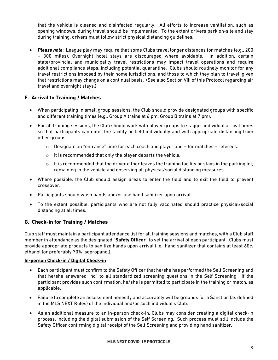that the vehicle is cleaned and disinfected regularly. All efforts to increase ventilation, such as opening windows, during travel should be implemented. To the extent drivers park on-site and stay during training, drivers must follow strict physical distancing guidelines.

• *Please note*: League play may require that some Clubs travel longer distances for matches (e.g., 200 – 300 miles). Overnight hotel stays are discouraged where avoidable. In addition, certain state/provincial and municipality travel restrictions may impact travel operations and require additional compliance steps, including potential quarantine. Clubs should routinely monitor for any travel restrictions imposed by their home jurisdictions, and those to which they plan to travel, given that restrictions may change on a continual basis. (See also Section VIII of this Protocol regarding air travel and overnight stays.)

#### <span id="page-11-0"></span>**F. Arrival to Training / Matches**

- When participating in small group sessions, the Club should provide designated groups with specific and different training times (e.g., Group A trains at 6 pm, Group B trains at 7 pm).
- For all training sessions, the Club should work with player groups to stagger individual arrival times so that participants can enter the facility or field individually and with appropriate distancing from other groups.
	- $\circ$  Designate an "entrance" time for each coach and player and  $-$  for matches  $-$  referees.
	- o It is recommended that only the player departs the vehicle.
	- $\circ$  It is recommended that the driver either leaves the training facility or stays in the parking lot, remaining in the vehicle and observing all physical/social distancing measures.
- Where possible, the Club should assign areas to enter the field and to exit the field to prevent crossover.
- Participants should wash hands and/or use hand sanitizer upon arrival.
- To the extent possible, participants who are not fully vaccinated should practice physical/social distancing at all times.

#### <span id="page-11-1"></span>**G. Check-in for Training / Matches**

Club staff must maintain a participant attendance list for all training sessions and matches, with a Club staff member in attendance as the designated "**Safety Officer**" to vet the arrival of each participant. Clubs must provide appropriate products to sanitize hands upon arrival (i.e., hand sanitizer that contains at least 60% ethanol (or preferably 70% isopropanol).

#### **In-person Check-in / Digital Check-in**

- Each participant must confirm to the Safety Officer that he/she has performed the Self Screening and that he/she answered "no" to all standardized screening questions in the Self Screening. If the participant provides such confirmation, he/she is permitted to participate in the training or match, as applicable.
- Failure to complete an assessment honestly and accurately will be grounds for a Sanction (as defined in the MLS NEXT Rules) of the individual and/or such individual's Club.
- As an additional measure to an in-person check-in, Clubs may consider creating a digital check-in process, including the digital submission of the Self Screening. Such process must still include the Safety Officer confirming digital receipt of the Self Screening and providing hand sanitizer.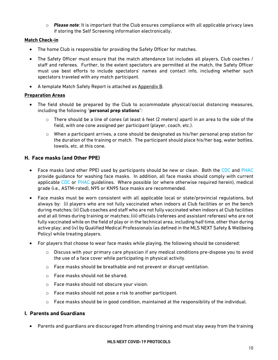o *Please note*: It is important that the Club ensures compliance with all applicable privacy laws if storing the Self Screening information electronically.

#### **Match Check-in**

- The home Club is responsible for providing the Safety Officer for matches.
- The Safety Officer must ensure that the match attendance list includes all players, Club coaches / staff and referees. Further, to the extent spectators are permitted at the match, the Safety Officer must use best efforts to include spectators' names and contact info, including whether such spectators traveled with any match participant.
- A template Match Safety Report is attached as Appendix B.

#### **Preparation Areas**

- The field should be prepared by the Club to accommodate physical/social distancing measures, including the following "**personal prep stations**":
	- $\circ$  There should be a line of cones (at least 6 feet (2 meters) apart) in an area to the side of the field, with one cone assigned per participant (player, coach, etc.).
	- $\circ$  When a participant arrives, a cone should be designated as his/her personal prep station for the duration of the training or match. The participant should place his/her bag, water bottles, towels, etc. at this cone.

#### <span id="page-12-0"></span>**H. Face masks (and Other PPE)**

- Face masks (and other PPE) used by participants should be new or clean. Both the [CDC](https://www.cdc.gov/coronavirus/2019-ncov/prevent-getting-sick/how-to-wash-cloth-face-coverings.html) and [PHAC](https://www.canada.ca/en/public-health/services/diseases/2019-novel-coronavirus-infection/prevention-risks/how-put-remove-clean-non-medical-masks-face-coverings.html) provide guidance for washing face masks. In addition, all face masks should comply with current applicable [CDC](https://www.cdc.gov/coronavirus/2019-ncov/prevent-getting-sick/about-face-coverings.html) or [PHAC](https://www.canada.ca/en/public-health/services/diseases/2019-novel-coronavirus-infection/prevention-risks/about-non-medical-masks-face-coverings.html) guidelines. Where possible (or where otherwise required herein), medical grade (i.e., ASTM-rated), N95 or KN95 face masks are recommended.
- Face masks must be worn consistent with all applicable local or state/provincial regulations, but always by: (i) players who are not fully vaccinated when indoors at Club facilities or on the bench during matches; (ii) Club coaches and staff who are not fully vaccinated when indoors at Club facilities and at all times during training or matches; (iii) officials (referees and assistant referees) who are not fully vaccinated while on the field of play or in the technical area, including half time, other than during active play; and (iv) by Qualified Medical Professionals (as defined in the MLS NEXT Safety & Wellbeing Policy) while treating players.
- For players that choose to wear face masks while playing, the following should be considered:
	- $\circ$  Discuss with your primary care physician if any medical conditions pre-dispose you to avoid the use of a face cover while participating in physical activity.
	- o Face masks should be breathable and not prevent or disrupt ventilation.
	- o Face masks should not be shared.
	- o Face masks should not obscure your vision.
	- o Face masks should not pose a risk to another participant.
	- $\circ$  Face masks should be in good condition, maintained at the responsibility of the individual.

#### <span id="page-12-1"></span>**I. Parents and Guardians**

• Parents and guardians are discouraged from attending training and must stay away from the training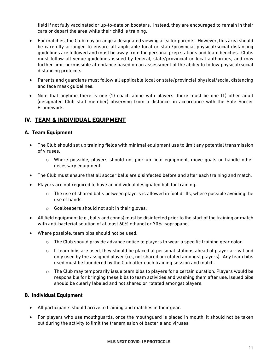field if not fully vaccinated or up-to-date on boosters. Instead, they are encouraged to remain in their cars or depart the area while their child is training.

- For matches, the Club may arrange a designated viewing area for parents. However, this area should be carefully arranged to ensure all applicable local or state/provincial physical/social distancing guidelines are followed and must be away from the personal prep stations and team benches. Clubs must follow all venue guidelines issued by federal, state/provincial or local authorities, and may further limit permissible attendance based on an assessment of the ability to follow physical/social distancing protocols.
- Parents and guardians must follow all applicable local or state/provincial physical/social distancing and face mask guidelines.
- Note that anytime there is one (1) coach alone with players, there must be one (1) other adult (designated Club staff member) observing from a distance, in accordance with the Safe Soccer Framework.

#### <span id="page-13-0"></span>**IV. TEAM & INDIVIDUAL EQUIPMENT**

#### <span id="page-13-1"></span>**A. Team Equipment**

- The Club should set up training fields with minimal equipment use to limit any potential transmission of viruses.
	- o Where possible, players should not pick-up field equipment, move goals or handle other necessary equipment.
- The Club must ensure that all soccer balls are disinfected before and after each training and match.
- Players are not required to have an individual designated ball for training.
	- $\circ$  The use of shared balls between players is allowed in foot drills, where possible avoiding the use of hands.
	- o Goalkeepers should not spit in their gloves.
- All field equipment (e.g., balls and cones) must be disinfected prior to the start of the training or match with anti-bacterial solution of at least 60% ethanol or 70% isopropanol.
- Where possible, team bibs should not be used.
	- $\circ$  The Club should provide advance notice to players to wear a specific training gear color.
	- $\circ$  If team bibs are used, they should be placed at personal stations ahead of player arrival and only used by the assigned player (i.e., not shared or rotated amongst players). Any team bibs used must be laundered by the Club after each training session and match.
	- $\circ$  The Club may temporarily issue team bibs to players for a certain duration. Players would be responsible for bringing these bibs to team activities and washing them after use. Issued bibs should be clearly labeled and not shared or rotated amongst players.

#### <span id="page-13-2"></span>**B. Individual Equipment**

- All participants should arrive to training and matches in their gear.
- For players who use mouthguards, once the mouthguard is placed in mouth, it should not be taken out during the activity to limit the transmission of bacteria and viruses.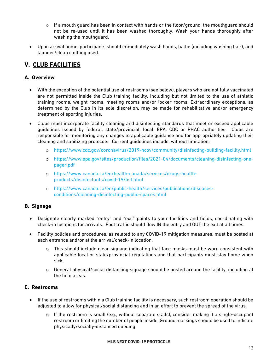- $\circ$  If a mouth guard has been in contact with hands or the floor/ground, the mouthguard should not be re-used until it has been washed thoroughly. Wash your hands thoroughly after washing the mouthguard.
- Upon arrival home, participants should immediately wash hands, bathe (including washing hair), and launder/clean clothing used.

#### <span id="page-14-0"></span>**V. CLUB FACILITIES**

#### <span id="page-14-1"></span>**A. Overview**

- With the exception of the potential use of restrooms (see below), players who are not fully vaccinated are not permitted inside the Club training facility, including but not limited to the use of athletic training rooms, weight rooms, meeting rooms and/or locker rooms. Extraordinary exceptions, as determined by the Club in its sole discretion, may be made for rehabilitative and/or emergency treatment of sporting injuries.
- Clubs must incorporate facility cleaning and disinfecting standards that meet or exceed applicable guidelines issued by federal, state/provincial, local, EPA, CDC or PHAC authorities. Clubs are responsible for monitoring any changes to applicable guidance and for appropriately updating their cleaning and sanitizing protocols. Current guidelines include, without limitation:
	- o <https://www.cdc.gov/coronavirus/2019-ncov/community/disinfecting-building-facility.html>
	- o [https://www.epa.gov/sites/production/files/2021-04/documents/cleaning-disinfecting-one](https://www.epa.gov/sites/production/files/2021-04/documents/cleaning-disinfecting-one-pager.pdf)[pager.pdf](https://www.epa.gov/sites/production/files/2021-04/documents/cleaning-disinfecting-one-pager.pdf)
	- o [https://www.canada.ca/en/health-canada/services/drugs-health](https://www.canada.ca/en/health-canada/services/drugs-health-products/disinfectants/covid-19/list.html)[products/disinfectants/covid-19/list.html](https://www.canada.ca/en/health-canada/services/drugs-health-products/disinfectants/covid-19/list.html)
	- o [https://www.canada.ca/en/public-health/services/publications/diseases](https://www.canada.ca/en/public-health/services/publications/diseases-conditions/cleaning-disinfecting-public-spaces.html)[conditions/cleaning-disinfecting-public-spaces.html](https://www.canada.ca/en/public-health/services/publications/diseases-conditions/cleaning-disinfecting-public-spaces.html)

#### <span id="page-14-2"></span>**B. Signage**

- Designate clearly marked "entry" and "exit" points to your facilities and fields, coordinating with check-in locations for arrivals. Foot traffic should flow IN the entry and OUT the exit at all times.
- Facility policies and procedures, as related to any COVID-19 mitigation measures, must be posted at each entrance and/or at the arrival/check-in location.
	- $\circ$  This should include clear signage indicating that face masks must be worn consistent with applicable local or state/provincial regulations and that participants must stay home when sick.
	- o General physical/social distancing signage should be posted around the facility, including at the field areas.

#### <span id="page-14-3"></span>**C. Restrooms**

- If the use of restrooms within a Club training facility is necessary, such restroom operation should be adjusted to allow for physical/social distancing and in an effort to prevent the spread of the virus.
	- o If the restroom is small (e.g., without separate stalls), consider making it a single-occupant restroom or limiting the number of people inside. Ground markings should be used to indicate physically/socially-distanced queuing.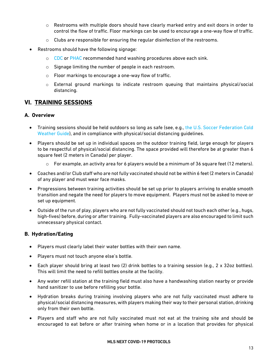- $\circ$  Restrooms with multiple doors should have clearly marked entry and exit doors in order to control the flow of traffic. Floor markings can be used to encourage a one-way flow of traffic.
- o Clubs are responsible for ensuring the regular disinfection of the restrooms.
- Restrooms should have the following signage:
	- o [CDC](https://www.cdc.gov/handwashing/when-how-handwashing.html) or [PHAC](https://www.canada.ca/content/dam/phac-aspc/documents/services/diseases-maladies/reduce-spread-covid-19-wash-your-hands/eng-handwashing.pdf) recommended hand washing procedures above each sink.
	- o Signage limiting the number of people in each restroom.
	- o Floor markings to encourage a one-way flow of traffic.
	- o External ground markings to indicate restroom queuing that maintains physical/social distancing.

#### <span id="page-15-0"></span>**VI. TRAINING SESSIONS**

#### <span id="page-15-1"></span>**A. Overview**

- Training sessions should be held outdoors so long as safe (see, e.g., the U.S. Soccer Federation Cold [Weather Guide\)](http://www.recognizetorecover.org/environmental#sun-safety-guidelines), and in compliance with physical/social distancing guidelines.
- Players should be set up in individual spaces on the outdoor training field, large enough for players to be respectful of physical/social distancing. The space provided will therefore be at greater than 6 square feet (2 meters in Canada) per player.
	- $\circ$  For example, an activity area for 6 players would be a minimum of 36 square feet (12 meters).
- Coaches and/or Club staff who are not fully vaccinated should not be within 6 feet (2 meters in Canada) of any player and must wear face masks.
- Progressions between training activities should be set up prior to players arriving to enable smooth transition and negate the need for players to move equipment. Players must not be asked to move or set up equipment.
- Outside of the run of play, players who are not fully vaccinated should not touch each other (e.g., hugs, high-fives) before, during or after training. Fully-vaccinated players are also encouraged to limit such unnecessary physical contact.

#### <span id="page-15-2"></span>**B. Hydration/Eating**

- Players must clearly label their water bottles with their own name.
- Players must not touch anyone else's bottle.
- Each player should bring at least two (2) drink bottles to a training session (e.g., 2 x 32oz bottles). This will limit the need to refill bottles onsite at the facility.
- Any water refill station at the training field must also have a handwashing station nearby or provide hand sanitizer to use before refilling your bottle.
- Hydration breaks during training involving players who are not fully vaccinated must adhere to physical/social distancing measures, with players making their way to their personal station, drinking only from their own bottle.
- Players and staff who are not fully vaccinated must not eat at the training site and should be encouraged to eat before or after training when home or in a location that provides for physical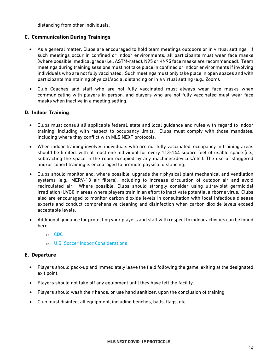distancing from other individuals.

#### <span id="page-16-0"></span>**C. Communication During Trainings**

- As a general matter, Clubs are encouraged to hold team meetings outdoors or in virtual settings. If such meetings occur in confined or indoor environments, all participants must wear face masks (where possible, medical grade (i.e., ASTM-rated), N95 or KN95 face masks are recommended). Team meetings during training sessions must not take place in confined or indoor environments if involving individuals who are not fully vaccinated. Such meetings must only take place in open spaces and with participants maintaining physical/social distancing or in a virtual setting (e.g., Zoom).
- Club Coaches and staff who are not fully vaccinated must always wear face masks when communicating with players in person, and players who are not fully vaccinated must wear face masks when inactive in a meeting setting.

#### <span id="page-16-1"></span>**D. Indoor Training**

- Clubs must consult all applicable federal, state and local guidance and rules with regard to indoor training, including with respect to occupancy limits. Clubs must comply with those mandates, including where they conflict with MLS NEXT protocols.
- When indoor training involves individuals who are not fully vaccinated, occupancy in training areas should be limited, with at most one individual for every 113-144 square feet of usable space (i.e., subtracting the space in the room occupied by any machines/devices/etc.). The use of staggered and/or cohort training is encouraged to promote physical distancing.
- Clubs should monitor and, where possible, upgrade their physical plant mechanical and ventilation systems (e.g., MERV-13 air filters), including to increase circulation of outdoor air and avoid recirculated air. Where possible, Clubs should strongly consider using ultraviolet germicidal irradiation (UVGI) in areas where players train in an effort to inactivate potential airborne virus. Clubs also are encouraged to monitor carbon dioxide levels in consultation with local infectious disease experts and conduct comprehensive cleaning and disinfection when carbon dioxide levels exceed acceptable levels.
- Additional guidance for protecting your players and staff with respect to indoor activities can be found here:
	- o [CDC](https://www.cdc.gov/coronavirus/2019-ncov/community/office-buildings.html)
	- o U.S. Socce[r Indoor Considerations](https://www.ussoccer.com/playon/guides/indoor-considerations)

#### <span id="page-16-2"></span>**E. Departure**

- Players should pack-up and immediately leave the field following the game, exiting at the designated exit point.
- Players should not take off any equipment until they have left the facility.
- Players should wash their hands, or use hand sanitizer, upon the conclusion of training.
- Club must disinfect all equipment, including benches, balls, flags, etc.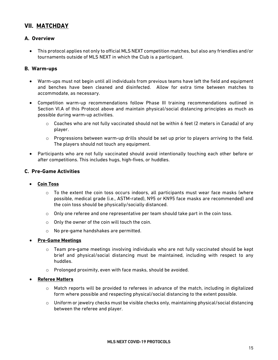#### <span id="page-17-0"></span>**VII. MATCHDAY**

#### <span id="page-17-1"></span>**A. Overview**

• This protocol applies not only to official MLS NEXT competition matches, but also any friendlies and/or tournaments outside of MLS NEXT in which the Club is a participant.

#### <span id="page-17-2"></span>**B. Warm-ups**

- Warm-ups must not begin until all individuals from previous teams have left the field and equipment and benches have been cleaned and disinfected. Allow for extra time between matches to accommodate, as necessary.
- Competition warm-up recommendations follow Phase III training recommendations outlined in Section VI.A of this Protocol above and maintain physical/social distancing principles as much as possible during warm-up activities.
	- $\circ$  Coaches who are not fully vaccinated should not be within 6 feet (2 meters in Canada) of any player.
	- $\circ$  Progressions between warm-up drills should be set up prior to players arriving to the field. The players should not touch any equipment.
- Participants who are not fully vaccinated should avoid intentionally touching each other before or after competitions. This includes hugs, high-fives, or huddles.

#### <span id="page-17-3"></span>**C. Pre-Game Activities**

#### • **Coin Toss**

- $\circ$  To the extent the coin toss occurs indoors, all participants must wear face masks (where possible, medical grade (i.e., ASTM-rated), N95 or KN95 face masks are recommended) and the coin toss should be physically/socially distanced.
- $\circ$  Only one referee and one representative per team should take part in the coin toss.
- $\circ$  Only the owner of the coin will touch the coin.
- o No pre-game handshakes are permitted.
- **Pre-Game Meetings**
	- $\circ$  Team pre-game meetings involving individuals who are not fully vaccinated should be kept brief and physical/social distancing must be maintained, including with respect to any huddles.
	- o Prolonged proximity, even with face masks, should be avoided.

#### • **Referee Matters**

- $\circ$  Match reports will be provided to referees in advance of the match, including in digitalized form where possible and respecting physical/social distancing to the extent possible.
- $\circ$  Uniform or jewelry checks must be visible checks only, maintaining physical/social distancing between the referee and player.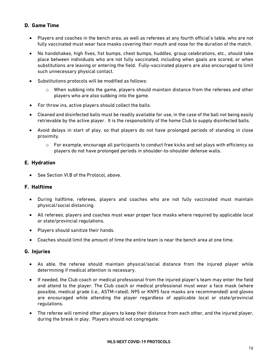#### <span id="page-18-0"></span>**D. Game Time**

- Players and coaches in the bench area, as well as referees at any fourth official's table, who are not fully vaccinated must wear face masks covering their mouth and nose for the duration of the match.
- No handshakes, high fives, fist bumps, chest bumps, huddles, group celebrations, etc., should take place between individuals who are not fully vaccinated, including when goals are scored, or when substitutions are leaving or entering the field. Fully-vaccinated players are also encouraged to limit such unnecessary physical contact.
- Substitutions protocols will be modified as follows:
	- $\circ$  When subbing into the game, players should maintain distance from the referees and other players who are also subbing into the game.
- For throw ins, active players should collect the balls.
- Cleaned and disinfected balls must be readily available for use, in the case of the ball not being easily retrievable by the active player. It is the responsibility of the home Club to supply disinfected balls.
- Avoid delays in start of play, so that players do not have prolonged periods of standing in close proximity.
	- $\circ$  For example, encourage all participants to conduct free kicks and set plays with efficiency so players do not have prolonged periods in shoulder-to-shoulder defense walls.

#### <span id="page-18-1"></span>**E. Hydration**

• See Section VI.B of the Protocol, above.

#### <span id="page-18-2"></span>**F. Halftime**

- During halftime, referees, players and coaches who are not fully vaccinated must maintain physical/social distancing.
- All referees, players and coaches must wear proper face masks where required by applicable local or state/provincial regulations.
- Players should sanitize their hands.
- Coaches should limit the amount of time the entire team is near the bench area at one time.

#### <span id="page-18-3"></span>**G. Injuries**

- As able, the referee should maintain physical/social distance from the injured player while determining if medical attention is necessary.
- If needed, the Club coach or medical professional from the injured player's team may enter the field and attend to the player. The Club coach or medical professional must wear a face mask (where possible, medical grade (i.e., ASTM-rated), N95 or KN95 face masks are recommended) and gloves are encouraged while attending the player regardless of applicable local or state/provincial regulations.
- The referee will remind other players to keep their distance from each other, and the injured player, during the break in play. Players should not congregate.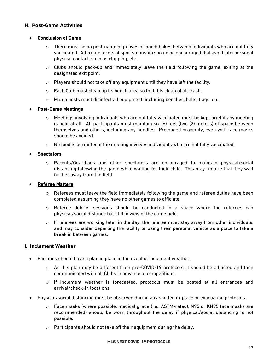#### <span id="page-19-0"></span>**H. Post-Game Activities**

#### • **Conclusion of Game**

- $\circ$  There must be no post-game high fives or handshakes between individuals who are not fully vaccinated. Alternate forms of sportsmanship should be encouraged that avoid interpersonal physical contact, such as clapping, etc.
- o Clubs should pack-up and immediately leave the field following the game, exiting at the designated exit point.
- o Players should not take off any equipment until they have left the facility.
- o Each Club must clean up its bench area so that it is clean of all trash.
- o Match hosts must disinfect all equipment, including benches, balls, flags, etc.

#### • **Post-Game Meetings**

- $\circ$  Meetings involving individuals who are not fully vaccinated must be kept brief if any meeting is held at all. All participants must maintain six (6) feet (two (2) meters) of space between themselves and others, including any huddles. Prolonged proximity, even with face masks should be avoided.
- $\circ$  No food is permitted if the meeting involves individuals who are not fully vaccinated.

#### • **Spectators**

o Parents/Guardians and other spectators are encouraged to maintain physical/social distancing following the game while waiting for their child. This may require that they wait further away from the field.

#### • **Referee Matters**

- $\circ$  Referees must leave the field immediately following the game and referee duties have been completed assuming they have no other games to officiate.
- o Referee debrief sessions should be conducted in a space where the referees can physical/social distance but still in view of the game field.
- $\circ$  If referees are working later in the day, the referee must stay away from other individuals, and may consider departing the facility or using their personal vehicle as a place to take a break in between games.

#### <span id="page-19-1"></span>**I. Inclement Weather**

- Facilities should have a plan in place in the event of inclement weather.
	- $\circ$  As this plan may be different from pre-COVID-19 protocols, it should be adjusted and then communicated with all Clubs in advance of competitions.
	- $\circ$  If inclement weather is forecasted, protocols must be posted at all entrances and arrival/check-in locations.
- Physical/social distancing must be observed during any shelter-in-place or evacuation protocols.
	- o Face masks (where possible, medical grade (i.e., ASTM-rated), N95 or KN95 face masks are recommended) should be worn throughout the delay if physical/social distancing is not possible.
	- o Participants should not take off their equipment during the delay.

#### **MLS NEXT COVID-19 PROTOCOLS**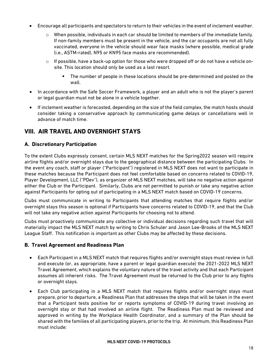- Encourage all participants and spectators to return to their vehicles in the event of inclement weather.
	- When possible, individuals in each car should be limited to members of the immediate family. If non-family members must be present in the vehicle, and the car occupants are not all fully vaccinated, everyone in the vehicle should wear face masks (where possible, medical grade (i.e., ASTM-rated), N95 or KN95 face masks are recommended).
	- $\circ$  If possible, have a back-up option for those who were dropped off or do not have a vehicle onsite. This location should only be used as a last resort.
		- The number of people in these locations should be pre-determined and posted on the wall.
- In accordance with the Safe Soccer Framework, a player and an adult who is not the player's parent or legal guardian must not be alone in a vehicle together.
- If inclement weather is forecasted, depending on the size of the field complex, the match hosts should consider taking a conservative approach by communicating game delays or cancellations well in advance of match time.

#### <span id="page-20-0"></span>**VIII. AIR TRAVEL AND OVERNIGHT STAYS**

#### <span id="page-20-1"></span>**A. Discretionary Participation**

To the extent Clubs expressly consent, certain MLS NEXT matches for the Spring2022 season will require airline flights and/or overnight stays due to the geographical distance between the participating Clubs. In the event any coach, staff or player ("Participant") registered in MLS NEXT does not want to participate in these matches because the Participant does not feel comfortable based on concerns related to COVID-19, Player Development, LLC ("PDev"), as organizer of MLS NEXT matches, will take no negative action against either the Club or the Participant. Similarly, Clubs are not permitted to punish or take any negative action against Participants for opting out of participating in a MLS NEXT match based on COVID-19 concerns.

Clubs must communicate in writing to Participants that attending matches that require flights and/or overnight stays this season is optional if Participants have concerns related to COVID-19, and that the Club will not take any negative action against Participants for choosing not to attend.

Clubs must proactively communicate any collective or individual decisions regarding such travel that will materially impact the MLS NEXT match by writing to Chris Schuler and Jason Lee-Brooks of the MLS NEXT League Staff. This notification is important as other Clubs may be affected by these decisions.

#### <span id="page-20-2"></span>**B. Travel Agreement and Readiness Plan**

- Each Participant in a MLS NEXT match that requires flights and/or overnight stays must review in full and execute (or, as appropriate, have a parent or legal guardian execute) the 2021-2022 MLS NEXT Travel Agreement, which explains the voluntary nature of the travel activity and that each Participant assumes all inherent risks. The Travel Agreement must be returned to the Club prior to any flights or overnight stays.
- Each Club participating in a MLS NEXT match that requires flights and/or overnight stays must prepare, prior to departure, a Readiness Plan that addresses the steps that will be taken in the event that a Participant tests positive for or reports symptoms of COVID-19 during travel involving an overnight stay or that had involved an airline flight. The Readiness Plan must be reviewed and approved in writing by the Workplace Health Coordinator, and a summary of the Plan should be shared with the families of all participating players, prior to the trip. At minimum, this Readiness Plan must include: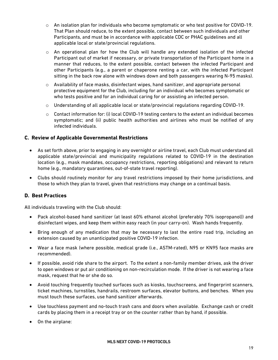- $\circ$  An isolation plan for individuals who become symptomatic or who test positive for COVID-19. That Plan should reduce, to the extent possible, contact between such individuals and other Participants, and must be in accordance with applicable CDC or PHAC guidelines and all applicable local or state/provincial regulations.
- $\circ$  An operational plan for how the Club will handle any extended isolation of the infected Participant out of market if necessary, or private transportation of the Participant home in a manner that reduces, to the extent possible, contact between the infected Participant and other Participants (e.g., a parent or chaperone renting a car, with the infected Participant sitting in the back row alone with windows down and both passengers wearing N-95 masks).
- $\circ$  Availability of face masks, disinfectant wipes, hand sanitizer, and appropriate personal protective equipment for the Club, including for an individual who becomes symptomatic or who tests positive and for an individual caring for or assisting an infected person.
- $\circ$  Understanding of all applicable local or state/provincial regulations regarding COVID-19.
- $\circ$  Contact information for: (i) local COVID-19 testing centers to the extent an individual becomes symptomatic; and (ii) public health authorities and airlines who must be notified of any infected individuals.

#### <span id="page-21-0"></span>**C. Review of Applicable Governmental Restrictions**

- As set forth above, prior to engaging in any overnight or airline travel, each Club must understand all applicable state/provincial and municipality regulations related to COVID-19 in the destination location (e.g., mask mandates, occupancy restrictions, reporting obligations) and relevant to return home (e.g., mandatory quarantines, out-of-state travel reporting).
- Clubs should routinely monitor for any travel restrictions imposed by their home jurisdictions, and those to which they plan to travel, given that restrictions may change on a continual basis.

#### <span id="page-21-1"></span>**D. Best Practices**

All individuals traveling with the Club should:

- Pack alcohol-based hand sanitizer (at least 60% ethanol alcohol (preferably 70% isopropanol)) and disinfectant wipes, and keep them within easy reach (in your carry-on). Wash hands frequently.
- Bring enough of any medication that may be necessary to last the entire road trip, including an extension caused by an unanticipated positive COVID-19 infection.
- Wear a face mask (where possible, medical grade (i.e., ASTM-rated), N95 or KN95 face masks are recommended).
- If possible, avoid ride share to the airport. To the extent a non-family member drives, ask the driver to open windows or put air conditioning on non-recirculation mode. If the driver is not wearing a face mask, request that he or she do so.
- Avoid touching frequently touched surfaces such as kiosks, touchscreens, and fingerprint scanners, ticket machines, turnstiles, handrails, restroom surfaces, elevator buttons, and benches. When you must touch these surfaces, use hand sanitizer afterwards.
- Use touchless payment and no-touch trash cans and doors when available. Exchange cash or credit cards by placing them in a receipt tray or on the counter rather than by hand, if possible.
- On the airplane: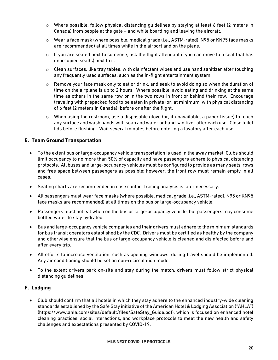- $\circ$  Where possible, follow physical distancing guidelines by staying at least 6 feet (2 meters in Canada) from people at the gate – and while boarding and leaving the aircraft.
- o Wear a face mask (where possible, medical grade (i.e., ASTM-rated), N95 or KN95 face masks are recommended) at all times while in the airport and on the plane.
- $\circ$  If you are seated next to someone, ask the flight attendant if you can move to a seat that has unoccupied seat(s) next to it.
- $\circ$  Clean surfaces, like tray tables, with disinfectant wipes and use hand sanitizer after touching any frequently used surfaces, such as the in-flight entertainment system.
- $\circ$  Remove your face mask only to eat or drink, and seek to avoid doing so when the duration of time on the airplane is up to 2 hours. Where possible, avoid eating and drinking at the same time as others in the same row or in the two rows in front or behind their row. Encourage traveling with prepacked food to be eaten in private (or, at minimum, with physical distancing of 6 feet (2 meters in Canada)) before or after the flight.
- o When using the restroom, use a disposable glove (or, if unavailable, a paper tissue) to touch any surface and wash hands with soap and water or hand sanitizer after each use. Close toilet lids before flushing. Wait several minutes before entering a lavatory after each use.

#### <span id="page-22-0"></span>**E. Team Ground Transportation**

- To the extent bus or large-occupancy vehicle transportation is used in the away market, Clubs should limit occupancy to no more than 50% of capacity and have passengers adhere to physical distancing protocols. All buses and large-occupancy vehicles must be configured to provide as many seats, rows and free space between passengers as possible; however, the front row must remain empty in all cases.
- Seating charts are recommended in case contact tracing analysis is later necessary.
- All passengers must wear face masks (where possible, medical grade (i.e., ASTM-rated), N95 or KN95 face masks are recommended) at all times on the bus or large-occupancy vehicle.
- Passengers must not eat when on the bus or large-occupancy vehicle, but passengers may consume bottled water to stay hydrated.
- Bus and large-occupancy vehicle companies and their drivers must adhere to the minimum standards for bus transit operators established by the CDC. Drivers must be certified as healthy by the company and otherwise ensure that the bus or large-occupancy vehicle is cleaned and disinfected before and after every trip.
- All efforts to increase ventilation, such as opening windows, during travel should be implemented. Any air conditioning should be set on non-recirculation mode.
- To the extent drivers park on-site and stay during the match, drivers must follow strict physical distancing guidelines.

#### <span id="page-22-1"></span>**F. Lodging**

• Club should confirm that all hotels in which they stay adhere to the enhanced industry-wide cleaning standards established by the Safe Stay initiative of the American Hotel & Lodging Association ("AHLA") (https://www.ahla.com/sites/default/files/SafeStay\_Guide.pdf), which is focused on enhanced hotel cleaning practices, social interactions, and workplace protocols to meet the new health and safety challenges and expectations presented by COVID-19.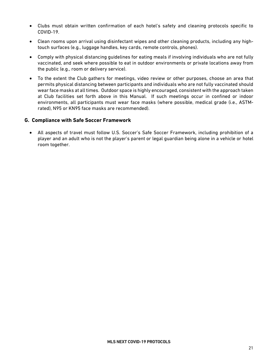- Clubs must obtain written confirmation of each hotel's safety and cleaning protocols specific to COVID-19.
- Clean rooms upon arrival using disinfectant wipes and other cleaning products, including any hightouch surfaces (e.g., luggage handles, key cards, remote controls, phones).
- Comply with physical distancing guidelines for eating meals if involving individuals who are not fully vaccinated, and seek where possible to eat in outdoor environments or private locations away from the public (e.g., room or delivery service).
- To the extent the Club gathers for meetings, video review or other purposes, choose an area that permits physical distancing between participants and individuals who are not fully vaccinated should wear face masks at all times. Outdoor space is highly encouraged, consistent with the approach taken at Club facilities set forth above in this Manual. If such meetings occur in confined or indoor environments, all participants must wear face masks (where possible, medical grade (i.e., ASTMrated), N95 or KN95 face masks are recommended).

#### <span id="page-23-0"></span>**G. Compliance with Safe Soccer Framework**

• All aspects of travel must follow U.S. Soccer's Safe Soccer Framework, including prohibition of a player and an adult who is not the player's parent or legal guardian being alone in a vehicle or hotel room together.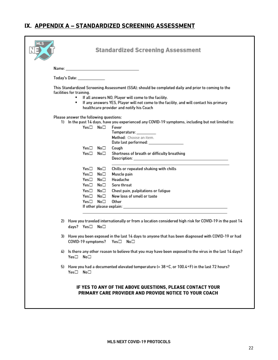#### <span id="page-24-0"></span>IX. APPENDIX A - STANDARDIZED SCREENING ASSESSMENT

|                                                                                                                                                                                                                                                                                                                              | <b>Standardized Screening Assessment</b>                                                                                                                                                                                                                                                                                                                                                                                                                                            |  |  |  |  |  |  |
|------------------------------------------------------------------------------------------------------------------------------------------------------------------------------------------------------------------------------------------------------------------------------------------------------------------------------|-------------------------------------------------------------------------------------------------------------------------------------------------------------------------------------------------------------------------------------------------------------------------------------------------------------------------------------------------------------------------------------------------------------------------------------------------------------------------------------|--|--|--|--|--|--|
|                                                                                                                                                                                                                                                                                                                              | Name: <b>Name:</b> All and the second contract of the second contract of the second contract of the second contract of the second contract of the second contract of the second contract of the second contract of the second contr                                                                                                                                                                                                                                                 |  |  |  |  |  |  |
|                                                                                                                                                                                                                                                                                                                              | Today's Date: with the control of the control of the control of the control of the control of the control of the control of the control of the control of the control of the control of the control of the control of the cont                                                                                                                                                                                                                                                      |  |  |  |  |  |  |
| This Standardized Screening Assessment (SSA); should be completed daily and prior to coming to the<br>facilities for training.<br>If all answers NO, Player will come to the facility.<br>If any answers YES, Player will not come to the facility, and will contact his primary<br>healthcare provider and notify his Coach |                                                                                                                                                                                                                                                                                                                                                                                                                                                                                     |  |  |  |  |  |  |
| Please answer the following questions:                                                                                                                                                                                                                                                                                       |                                                                                                                                                                                                                                                                                                                                                                                                                                                                                     |  |  |  |  |  |  |
|                                                                                                                                                                                                                                                                                                                              | 1) In the past 14 days, have you experienced any COVID-19 symptoms, including but not limited to:<br>Yes□ No□<br>Fever<br>Temperature: _________<br>Method: Choose an item.<br>Date last performed: ________________                                                                                                                                                                                                                                                                |  |  |  |  |  |  |
|                                                                                                                                                                                                                                                                                                                              | Yes□ No□<br>Couah<br>Yes⊟<br>No□<br>Shortness of breath or difficulty breathing                                                                                                                                                                                                                                                                                                                                                                                                     |  |  |  |  |  |  |
|                                                                                                                                                                                                                                                                                                                              | Yes□ No□<br>Chills or repeated shaking with chills<br>Yes□ No□<br>Muscle pain<br>Yes□ No□<br>Headache<br>Yes□ No□<br>Sore throat<br>Yes□ No□<br>Chest pain, palpitations or fatigue<br>Yes□ No□<br>New loss of smell or taste<br>Yes□ No□<br>Other<br>If other please explain: with the contract of the contract of the contract of the contract of the contract of the contract of the contract of the contract of the contract of the contract of the contract of the contract of |  |  |  |  |  |  |
|                                                                                                                                                                                                                                                                                                                              | 2) Have you traveled internationally or from a location considered high risk for COVID-19 in the past 14<br>days? Yes□ No□                                                                                                                                                                                                                                                                                                                                                          |  |  |  |  |  |  |
|                                                                                                                                                                                                                                                                                                                              | 3) Have you been exposed in the last 14 days to anyone that has been diagnosed with COVID-19 or had<br>COVID-19 symptoms? Yes□ No□                                                                                                                                                                                                                                                                                                                                                  |  |  |  |  |  |  |
|                                                                                                                                                                                                                                                                                                                              | 4) Is there any other reason to believe that you may have been exposed to the virus in the last 14 days?<br>Yes□ No□                                                                                                                                                                                                                                                                                                                                                                |  |  |  |  |  |  |
|                                                                                                                                                                                                                                                                                                                              | 5) Have you had a documented elevated temperature (> 38 °C, or 100.4 °F) in the last 72 hours?<br>Yes□ No□                                                                                                                                                                                                                                                                                                                                                                          |  |  |  |  |  |  |
|                                                                                                                                                                                                                                                                                                                              | IF YES TO ANY OF THE ABOVE QUESTIONS, PLEASE CONTACT YOUR<br>PRIMARY CARE PROVIDER AND PROVIDE NOTICE TO YOUR COACH                                                                                                                                                                                                                                                                                                                                                                 |  |  |  |  |  |  |